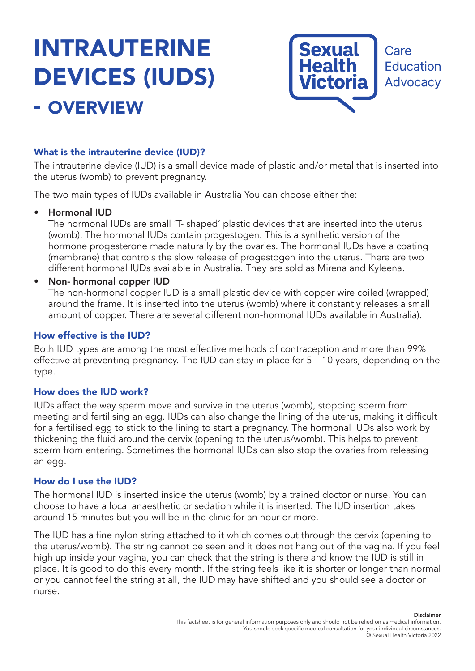# INTRAUTERINE DEVICES (IUDS) - OVERVIEW



# What is the intrauterine device (IUD)?

The intrauterine device (IUD) is a small device made of plastic and/or metal that is inserted into the uterus (womb) to prevent pregnancy.

The two main types of IUDs available in Australia You can choose either the:

## • Hormonal IUD

The hormonal IUDs are small 'T- shaped' plastic devices that are inserted into the uterus (womb). The hormonal IUDs contain progestogen. This is a synthetic version of the hormone progesterone made naturally by the ovaries. The hormonal IUDs have a coating (membrane) that controls the slow release of progestogen into the uterus. There are two different hormonal IUDs available in Australia. They are sold as Mirena and Kyleena.

## • Non- hormonal copper IUD

The non-hormonal copper IUD is a small plastic device with copper wire coiled (wrapped) around the frame. It is inserted into the uterus (womb) where it constantly releases a small amount of copper. There are several different non-hormonal IUDs available in Australia).

## How effective is the IUD?

Both IUD types are among the most effective methods of contraception and more than 99% effective at preventing pregnancy. The IUD can stay in place for 5 – 10 years, depending on the type.

## How does the IUD work?

IUDs affect the way sperm move and survive in the uterus (womb), stopping sperm from meeting and fertilising an egg. IUDs can also change the lining of the uterus, making it difficult for a fertilised egg to stick to the lining to start a pregnancy. The hormonal IUDs also work by thickening the fluid around the cervix (opening to the uterus/womb). This helps to prevent sperm from entering. Sometimes the hormonal IUDs can also stop the ovaries from releasing an egg.

#### How do I use the IUD?

The hormonal IUD is inserted inside the uterus (womb) by a trained doctor or nurse. You can choose to have a local anaesthetic or sedation while it is inserted. The IUD insertion takes around 15 minutes but you will be in the clinic for an hour or more.

The IUD has a fine nylon string attached to it which comes out through the cervix (opening to the uterus/womb). The string cannot be seen and it does not hang out of the vagina. If you feel high up inside your vagina, you can check that the string is there and know the IUD is still in place. It is good to do this every month. If the string feels like it is shorter or longer than normal or you cannot feel the string at all, the IUD may have shifted and you should see a doctor or nurse.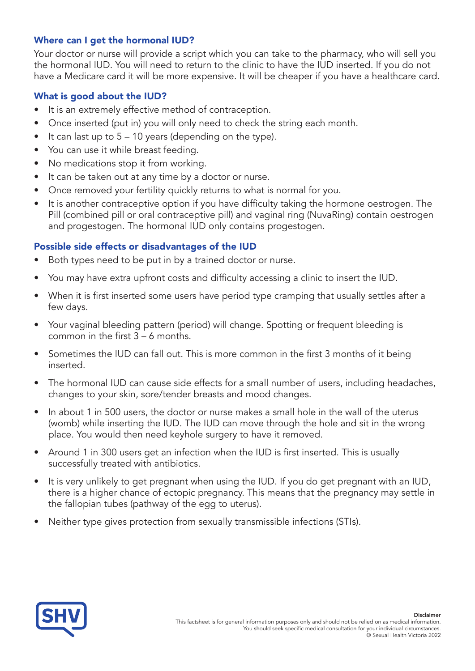# Where can I get the hormonal IUD?

Your doctor or nurse will provide a script which you can take to the pharmacy, who will sell you the hormonal IUD. You will need to return to the clinic to have the IUD inserted. If you do not have a Medicare card it will be more expensive. It will be cheaper if you have a healthcare card.

## What is good about the IUD?

- It is an extremely effective method of contraception.
- Once inserted (put in) you will only need to check the string each month.
- $\bullet$  It can last up to  $5 10$  years (depending on the type).
- You can use it while breast feeding.
- No medications stop it from working.
- It can be taken out at any time by a doctor or nurse.
- Once removed your fertility quickly returns to what is normal for you.
- It is another contraceptive option if you have difficulty taking the hormone oestrogen. The Pill (combined pill or oral contraceptive pill) and vaginal ring (NuvaRing) contain oestrogen and progestogen. The hormonal IUD only contains progestogen.

# Possible side effects or disadvantages of the IUD

- Both types need to be put in by a trained doctor or nurse.
- You may have extra upfront costs and difficulty accessing a clinic to insert the IUD.
- When it is first inserted some users have period type cramping that usually settles after a few days.
- Your vaginal bleeding pattern (period) will change. Spotting or frequent bleeding is common in the first 3 – 6 months.
- Sometimes the IUD can fall out. This is more common in the first 3 months of it being inserted.
- The hormonal IUD can cause side effects for a small number of users, including headaches, changes to your skin, sore/tender breasts and mood changes.
- In about 1 in 500 users, the doctor or nurse makes a small hole in the wall of the uterus (womb) while inserting the IUD. The IUD can move through the hole and sit in the wrong place. You would then need keyhole surgery to have it removed.
- Around 1 in 300 users get an infection when the IUD is first inserted. This is usually successfully treated with antibiotics.
- It is very unlikely to get pregnant when using the IUD. If you do get pregnant with an IUD, there is a higher chance of ectopic pregnancy. This means that the pregnancy may settle in the fallopian tubes (pathway of the egg to uterus).
- Neither type gives protection from sexually transmissible infections (STIs).